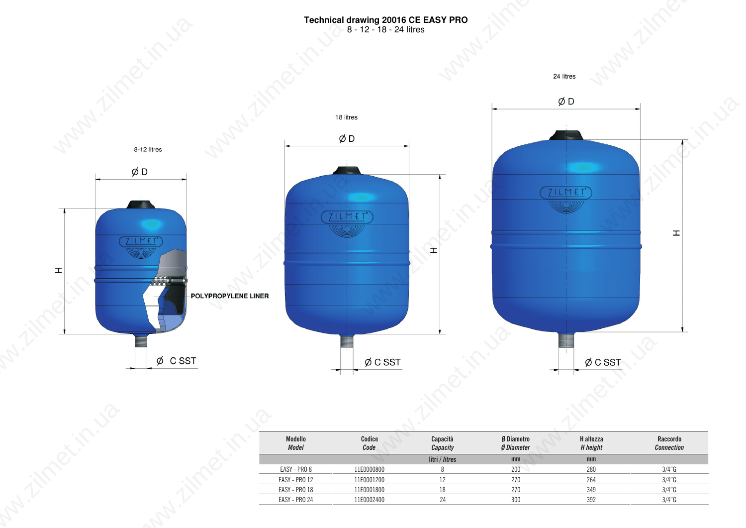## **Technical drawing 20016 CE EASY PRO** 8 - 12 - 18 - 24 litres



| Modello<br><b>Model</b> | Codice<br>Code | Capacità<br>Capacity | <b>Ø Diametro</b><br><b>Ø Diameter</b> | H altezza<br>H height | Raccordo<br><b>Connection</b> |
|-------------------------|----------------|----------------------|----------------------------------------|-----------------------|-------------------------------|
|                         |                | litri / litres       | mm                                     | mm                    |                               |
| EASY - PRO 8            | 11E0000800     |                      | 200                                    | 280                   | $3/4"$ G                      |
| EASY - PRO 12           | 11E0001200     |                      | 270                                    | 264                   | $3/4"$ G                      |
| EASY - PRO 18           | 11E0001800     | 18                   | 270                                    | 349                   | $3/4"$ G                      |
| EASY - PRO 24           | 11E0002400     | 24                   | 300                                    | 392                   | $3/4"$ G                      |